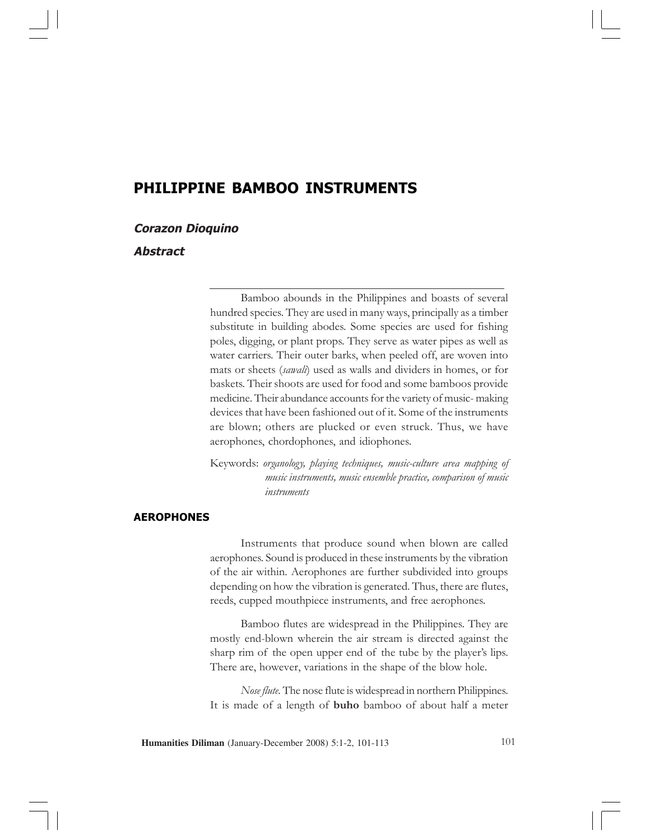# PHILIPPINE BAMBOO INSTRUMENTS

### Corazon Dioquino

# Abstract

Bamboo abounds in the Philippines and boasts of several hundred species. They are used in many ways, principally as a timber substitute in building abodes. Some species are used for fishing poles, digging, or plant props. They serve as water pipes as well as water carriers. Their outer barks, when peeled off, are woven into mats or sheets (sawali) used as walls and dividers in homes, or for baskets. Their shoots are used for food and some bamboos provide medicine. Their abundance accounts for the variety of music- making devices that have been fashioned out of it. Some of the instruments are blown; others are plucked or even struck. Thus, we have aerophones, chordophones, and idiophones.

Keywords: organology, playing techniques, music-culture area mapping of music instruments, music ensemble practice, comparison of music instruments

# AEROPHONES

Instruments that produce sound when blown are called aerophones. Sound is produced in these instruments by the vibration of the air within. Aerophones are further subdivided into groups depending on how the vibration is generated. Thus, there are flutes, reeds, cupped mouthpiece instruments, and free aerophones.

Bamboo flutes are widespread in the Philippines. They are mostly end-blown wherein the air stream is directed against the sharp rim of the open upper end of the tube by the player's lips. There are, however, variations in the shape of the blow hole.

Nose flute. The nose flute is widespread in northern Philippines. It is made of a length of **buho** bamboo of about half a meter

**Humanities Diliman** (January-December 2008) 5:1-2, 101-113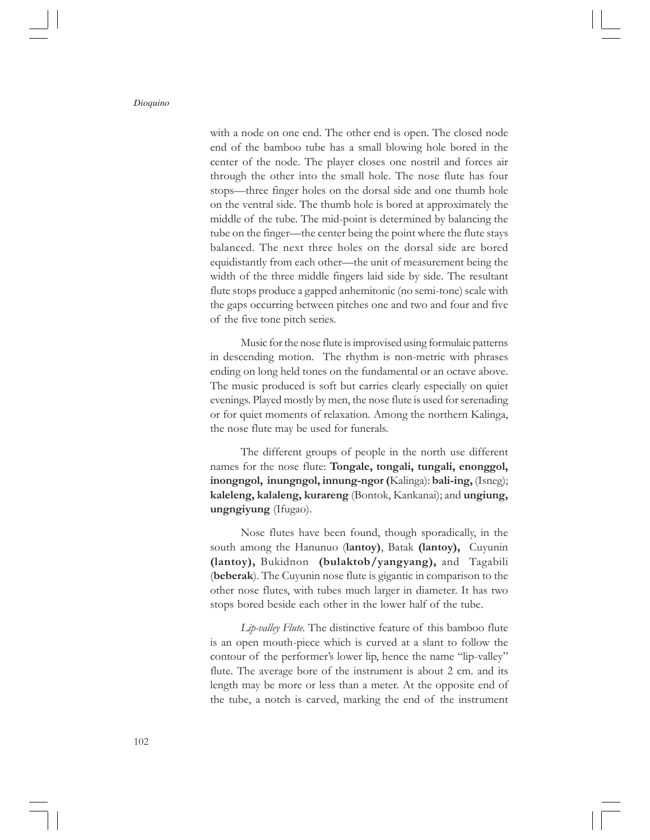with a node on one end. The other end is open. The closed node end of the bamboo tube has a small blowing hole bored in the center of the node. The player closes one nostril and forces air through the other into the small hole. The nose flute has four stops—three finger holes on the dorsal side and one thumb hole on the ventral side. The thumb hole is bored at approximately the middle of the tube. The mid-point is determined by balancing the tube on the finger—the center being the point where the flute stays balanced. The next three holes on the dorsal side are bored equidistantly from each other—the unit of measurement being the width of the three middle fingers laid side by side. The resultant flute stops produce a gapped anhemitonic (no semi-tone) scale with the gaps occurring between pitches one and two and four and five of the five tone pitch series.

Music for the nose flute is improvised using formulaic patterns in descending motion. The rhythm is non-metric with phrases ending on long held tones on the fundamental or an octave above. The music produced is soft but carries clearly especially on quiet evenings. Played mostly by men, the nose flute is used for serenading or for quiet moments of relaxation. Among the northern Kalinga, the nose flute may be used for funerals.

The different groups of people in the north use different names for the nose flute: Tongale, tongali, tungali, enonggol, inongngol, inungngol, innung-ngor (Kalinga): bali-ing, (Isneg); kaleleng, kalaleng, kurareng (Bontok, Kankanai); and ungiung, ungngiyung (Ifugao).

Nose flutes have been found, though sporadically, in the south among the Hanunuo (lantoy), Batak (lantoy), Cuyunin (lantoy), Bukidnon (bulaktob/yangyang), and Tagabili (beberak). The Cuyunin nose flute is gigantic in comparison to the other nose flutes, with tubes much larger in diameter. It has two stops bored beside each other in the lower half of the tube.

Lip-valley Flute. The distinctive feature of this bamboo flute is an open mouth-piece which is curved at a slant to follow the contour of the performer's lower lip, hence the name "lip-valley" flute. The average bore of the instrument is about 2 cm. and its length may be more or less than a meter. At the opposite end of the tube, a notch is carved, marking the end of the instrument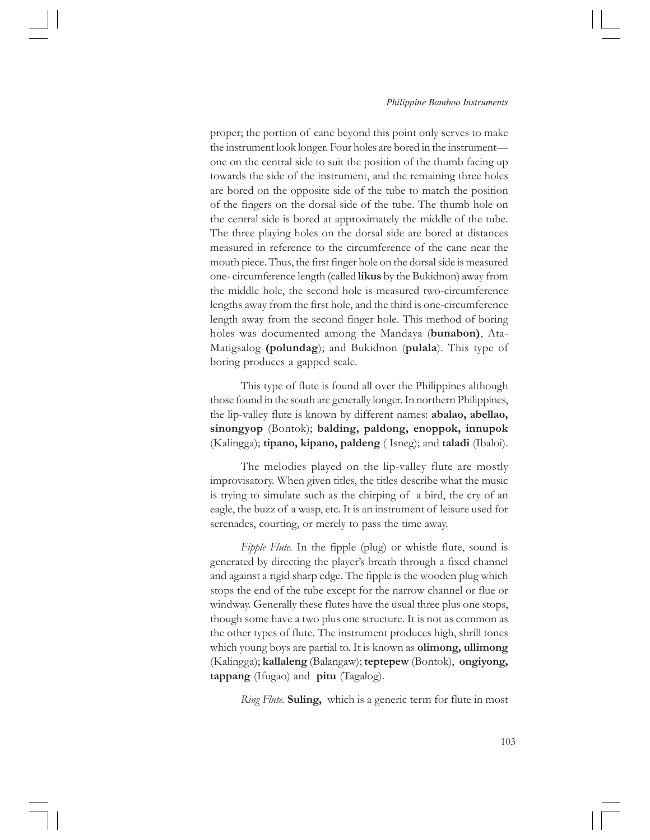proper; the portion of cane beyond this point only serves to make the instrument look longer. Four holes are bored in the instrument one on the central side to suit the position of the thumb facing up towards the side of the instrument, and the remaining three holes are bored on the opposite side of the tube to match the position of the fingers on the dorsal side of the tube. The thumb hole on the central side is bored at approximately the middle of the tube. The three playing holes on the dorsal side are bored at distances measured in reference to the circumference of the cane near the mouth piece. Thus, the first finger hole on the dorsal side is measured one- circumference length (called likus by the Bukidnon) away from the middle hole, the second hole is measured two-circumference lengths away from the first hole, and the third is one-circumference length away from the second finger hole. This method of boring holes was documented among the Mandaya (bunabon), Ata-Matigsalog (polundag); and Bukidnon (pulala). This type of boring produces a gapped scale.

This type of flute is found all over the Philippines although those found in the south are generally longer. In northern Philippines, the lip-valley flute is known by different names: abalao, abellao, sinongyop (Bontok); balding, paldong, enoppok, innupok (Kalingga); tipano, kipano, paldeng ( Isneg); and taladi (Ibaloi).

The melodies played on the lip-valley flute are mostly improvisatory. When given titles, the titles describe what the music is trying to simulate such as the chirping of a bird, the cry of an eagle, the buzz of a wasp, etc. It is an instrument of leisure used for serenades, courting, or merely to pass the time away.

Fipple Flute. In the fipple (plug) or whistle flute, sound is generated by directing the player's breath through a fixed channel and against a rigid sharp edge. The fipple is the wooden plug which stops the end of the tube except for the narrow channel or flue or windway. Generally these flutes have the usual three plus one stops, though some have a two plus one structure. It is not as common as the other types of flute. The instrument produces high, shrill tones which young boys are partial to. It is known as olimong, ullimong (Kalingga); kallaleng (Balangaw); teptepew (Bontok), ongiyong, tappang (Ifugao) and pitu (Tagalog).

Ring Flute. Suling, which is a generic term for flute in most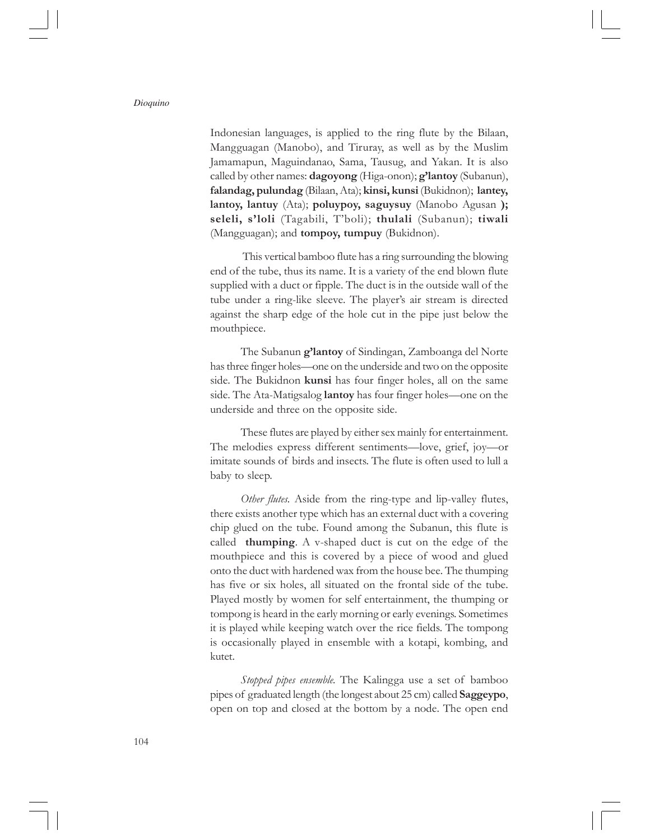Indonesian languages, is applied to the ring flute by the Bilaan, Mangguagan (Manobo), and Tiruray, as well as by the Muslim Jamamapun, Maguindanao, Sama, Tausug, and Yakan. It is also called by other names: dagoyong (Higa-onon); g'lantoy (Subanun), falandag, pulundag (Bilaan, Ata); kinsi, kunsi (Bukidnon); lantey, lantoy, lantuy (Ata); poluypoy, saguysuy (Manobo Agusan); seleli, s'loli (Tagabili, T'boli); thulali (Subanun); tiwali (Mangguagan); and tompoy, tumpuy (Bukidnon).

 This vertical bamboo flute has a ring surrounding the blowing end of the tube, thus its name. It is a variety of the end blown flute supplied with a duct or fipple. The duct is in the outside wall of the tube under a ring-like sleeve. The player's air stream is directed against the sharp edge of the hole cut in the pipe just below the mouthpiece.

The Subanun **g'lantoy** of Sindingan, Zamboanga del Norte has three finger holes—one on the underside and two on the opposite side. The Bukidnon kunsi has four finger holes, all on the same side. The Ata-Matigsalog lantoy has four finger holes—one on the underside and three on the opposite side.

These flutes are played by either sex mainly for entertainment. The melodies express different sentiments—love, grief, joy—or imitate sounds of birds and insects. The flute is often used to lull a baby to sleep.

Other flutes. Aside from the ring-type and lip-valley flutes, there exists another type which has an external duct with a covering chip glued on the tube. Found among the Subanun, this flute is called thumping. A v-shaped duct is cut on the edge of the mouthpiece and this is covered by a piece of wood and glued onto the duct with hardened wax from the house bee. The thumping has five or six holes, all situated on the frontal side of the tube. Played mostly by women for self entertainment, the thumping or tompong is heard in the early morning or early evenings. Sometimes it is played while keeping watch over the rice fields. The tompong is occasionally played in ensemble with a kotapi, kombing, and kutet.

Stopped pipes ensemble. The Kalingga use a set of bamboo pipes of graduated length (the longest about 25 cm) called Saggeypo, open on top and closed at the bottom by a node. The open end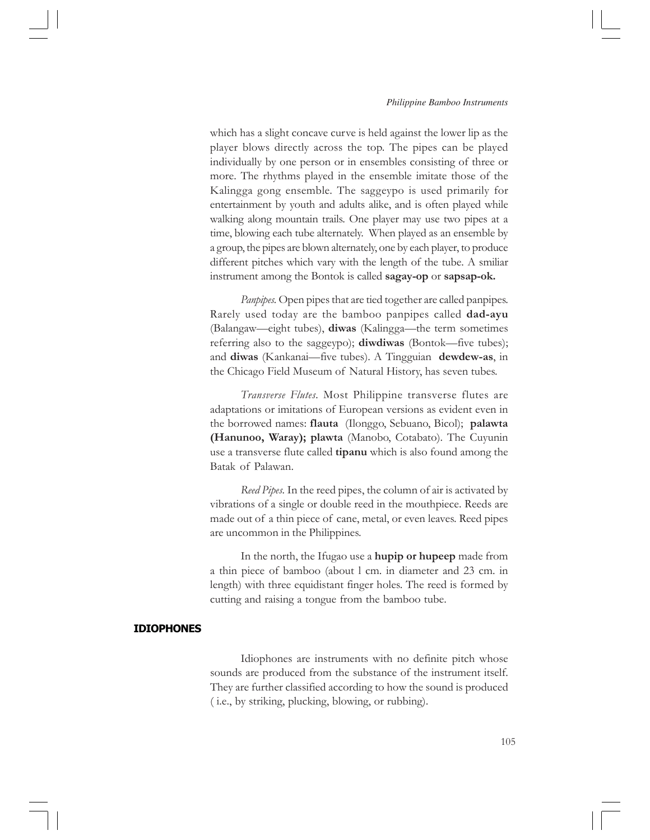which has a slight concave curve is held against the lower lip as the player blows directly across the top. The pipes can be played individually by one person or in ensembles consisting of three or more. The rhythms played in the ensemble imitate those of the Kalingga gong ensemble. The saggeypo is used primarily for entertainment by youth and adults alike, and is often played while walking along mountain trails. One player may use two pipes at a time, blowing each tube alternately. When played as an ensemble by a group, the pipes are blown alternately, one by each player, to produce different pitches which vary with the length of the tube. A smiliar instrument among the Bontok is called sagay-op or sapsap-ok.

Panpipes. Open pipes that are tied together are called panpipes. Rarely used today are the bamboo panpipes called dad-ayu (Balangaw—eight tubes), diwas (Kalingga—the term sometimes referring also to the saggeypo); **diwdiwas** (Bontok—five tubes); and diwas (Kankanai—five tubes). A Tingguian dewdew-as, in the Chicago Field Museum of Natural History, has seven tubes.

Transverse Flutes. Most Philippine transverse flutes are adaptations or imitations of European versions as evident even in the borrowed names: flauta (Ilonggo, Sebuano, Bicol); palawta (Hanunoo, Waray); plawta (Manobo, Cotabato). The Cuyunin use a transverse flute called **tipanu** which is also found among the Batak of Palawan.

Reed Pipes. In the reed pipes, the column of air is activated by vibrations of a single or double reed in the mouthpiece. Reeds are made out of a thin piece of cane, metal, or even leaves. Reed pipes are uncommon in the Philippines.

In the north, the Ifugao use a **hupip or hupeep** made from a thin piece of bamboo (about l cm. in diameter and 23 cm. in length) with three equidistant finger holes. The reed is formed by cutting and raising a tongue from the bamboo tube.

### IDIOPHONES

Idiophones are instruments with no definite pitch whose sounds are produced from the substance of the instrument itself. They are further classified according to how the sound is produced ( i.e., by striking, plucking, blowing, or rubbing).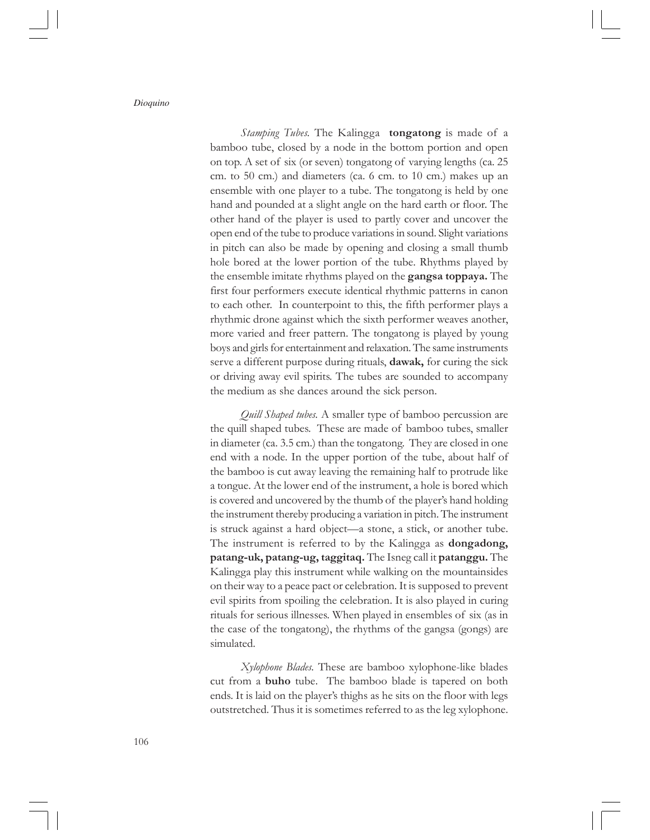Stamping Tubes. The Kalingga **tongatong** is made of a bamboo tube, closed by a node in the bottom portion and open on top. A set of six (or seven) tongatong of varying lengths (ca. 25 cm. to 50 cm.) and diameters (ca. 6 cm. to 10 cm.) makes up an ensemble with one player to a tube. The tongatong is held by one hand and pounded at a slight angle on the hard earth or floor. The other hand of the player is used to partly cover and uncover the open end of the tube to produce variations in sound. Slight variations in pitch can also be made by opening and closing a small thumb hole bored at the lower portion of the tube. Rhythms played by the ensemble imitate rhythms played on the **gangsa toppaya.** The first four performers execute identical rhythmic patterns in canon to each other. In counterpoint to this, the fifth performer plays a rhythmic drone against which the sixth performer weaves another, more varied and freer pattern. The tongatong is played by young boys and girls for entertainment and relaxation. The same instruments serve a different purpose during rituals, **dawak**, for curing the sick or driving away evil spirits. The tubes are sounded to accompany the medium as she dances around the sick person.

Quill Shaped tubes. A smaller type of bamboo percussion are the quill shaped tubes. These are made of bamboo tubes, smaller in diameter (ca. 3.5 cm.) than the tongatong. They are closed in one end with a node. In the upper portion of the tube, about half of the bamboo is cut away leaving the remaining half to protrude like a tongue. At the lower end of the instrument, a hole is bored which is covered and uncovered by the thumb of the player's hand holding the instrument thereby producing a variation in pitch. The instrument is struck against a hard object—a stone, a stick, or another tube. The instrument is referred to by the Kalingga as dongadong, patang-uk, patang-ug, taggitaq. The Isneg call it patanggu. The Kalingga play this instrument while walking on the mountainsides on their way to a peace pact or celebration. It is supposed to prevent evil spirits from spoiling the celebration. It is also played in curing rituals for serious illnesses. When played in ensembles of six (as in the case of the tongatong), the rhythms of the gangsa (gongs) are simulated.

Xylophone Blades. These are bamboo xylophone-like blades cut from a buho tube. The bamboo blade is tapered on both ends. It is laid on the player's thighs as he sits on the floor with legs outstretched. Thus it is sometimes referred to as the leg xylophone.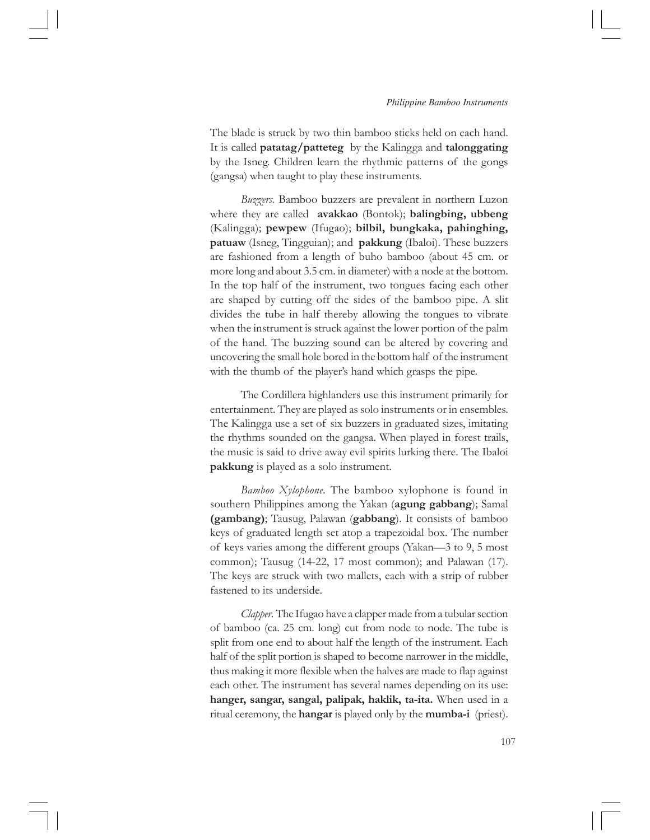The blade is struck by two thin bamboo sticks held on each hand. It is called patatag/patteteg by the Kalingga and talonggating by the Isneg. Children learn the rhythmic patterns of the gongs (gangsa) when taught to play these instruments.

Buzzers. Bamboo buzzers are prevalent in northern Luzon where they are called **avakkao** (Bontok); **balingbing**, **ubbeng** (Kalingga); pewpew (Ifugao); bilbil, bungkaka, pahinghing, patuaw (Isneg, Tingguian); and pakkung (Ibaloi). These buzzers are fashioned from a length of buho bamboo (about 45 cm. or more long and about 3.5 cm. in diameter) with a node at the bottom. In the top half of the instrument, two tongues facing each other are shaped by cutting off the sides of the bamboo pipe. A slit divides the tube in half thereby allowing the tongues to vibrate when the instrument is struck against the lower portion of the palm of the hand. The buzzing sound can be altered by covering and uncovering the small hole bored in the bottom half of the instrument with the thumb of the player's hand which grasps the pipe.

The Cordillera highlanders use this instrument primarily for entertainment. They are played as solo instruments or in ensembles. The Kalingga use a set of six buzzers in graduated sizes, imitating the rhythms sounded on the gangsa. When played in forest trails, the music is said to drive away evil spirits lurking there. The Ibaloi pakkung is played as a solo instrument.

Bamboo Xylophone. The bamboo xylophone is found in southern Philippines among the Yakan (**agung gabbang**); Samal (gambang); Tausug, Palawan (gabbang). It consists of bamboo keys of graduated length set atop a trapezoidal box. The number of keys varies among the different groups (Yakan—3 to 9, 5 most common); Tausug (14-22, 17 most common); and Palawan (17). The keys are struck with two mallets, each with a strip of rubber fastened to its underside.

Clapper. The Ifugao have a clapper made from a tubular section of bamboo (ca. 25 cm. long) cut from node to node. The tube is split from one end to about half the length of the instrument. Each half of the split portion is shaped to become narrower in the middle, thus making it more flexible when the halves are made to flap against each other. The instrument has several names depending on its use: hanger, sangar, sangal, palipak, haklik, ta-ita. When used in a ritual ceremony, the **hangar** is played only by the **mumba-i** (priest).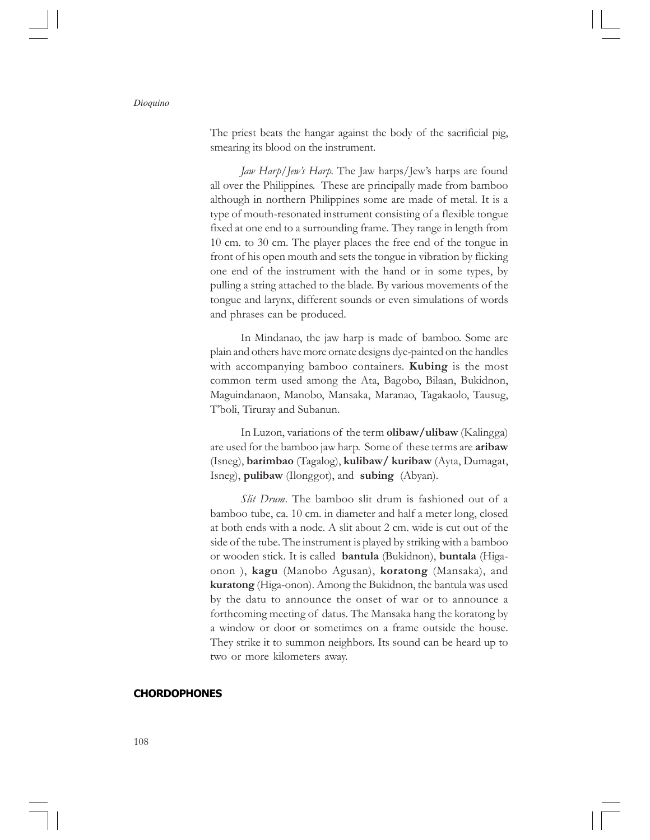The priest beats the hangar against the body of the sacrificial pig, smearing its blood on the instrument.

Jaw Harp/Jew's Harp. The Jaw harps/Jew's harps are found all over the Philippines. These are principally made from bamboo although in northern Philippines some are made of metal. It is a type of mouth-resonated instrument consisting of a flexible tongue fixed at one end to a surrounding frame. They range in length from 10 cm. to 30 cm. The player places the free end of the tongue in front of his open mouth and sets the tongue in vibration by flicking one end of the instrument with the hand or in some types, by pulling a string attached to the blade. By various movements of the tongue and larynx, different sounds or even simulations of words and phrases can be produced.

In Mindanao, the jaw harp is made of bamboo. Some are plain and others have more ornate designs dye-painted on the handles with accompanying bamboo containers. Kubing is the most common term used among the Ata, Bagobo, Bilaan, Bukidnon, Maguindanaon, Manobo, Mansaka, Maranao, Tagakaolo, Tausug, T'boli, Tiruray and Subanun.

In Luzon, variations of the term olibaw/ulibaw (Kalingga) are used for the bamboo jaw harp. Some of these terms are **aribaw** (Isneg), barimbao (Tagalog), kulibaw/ kuribaw (Ayta, Dumagat, Isneg), pulibaw (Ilonggot), and subing (Abyan).

Slit Drum. The bamboo slit drum is fashioned out of a bamboo tube, ca. 10 cm. in diameter and half a meter long, closed at both ends with a node. A slit about 2 cm. wide is cut out of the side of the tube. The instrument is played by striking with a bamboo or wooden stick. It is called bantula (Bukidnon), buntala (Higaonon ), kagu (Manobo Agusan), koratong (Mansaka), and kuratong (Higa-onon). Among the Bukidnon, the bantula was used by the datu to announce the onset of war or to announce a forthcoming meeting of datus. The Mansaka hang the koratong by a window or door or sometimes on a frame outside the house. They strike it to summon neighbors. Its sound can be heard up to two or more kilometers away.

# **CHORDOPHONES**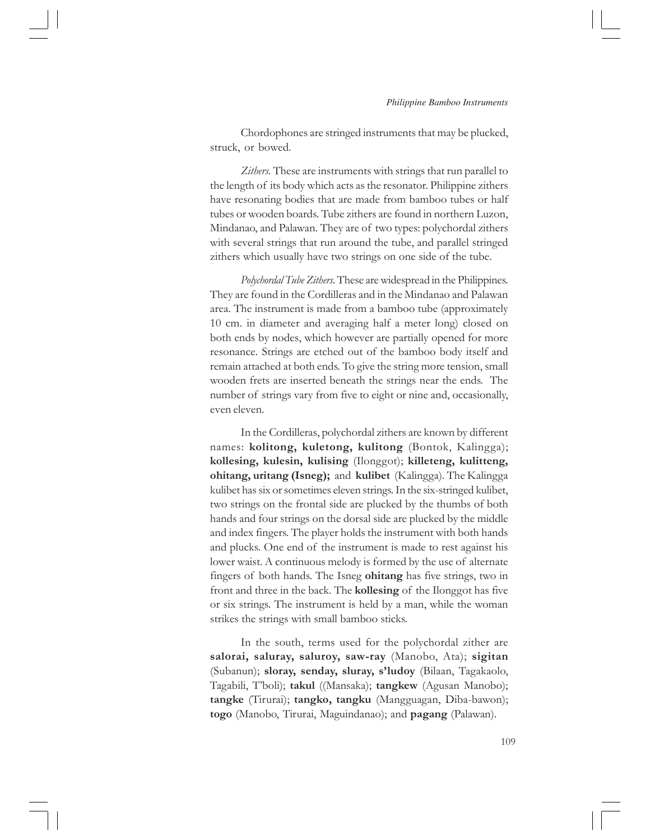Chordophones are stringed instruments that may be plucked, struck, or bowed.

Zithers. These are instruments with strings that run parallel to the length of its body which acts as the resonator. Philippine zithers have resonating bodies that are made from bamboo tubes or half tubes or wooden boards. Tube zithers are found in northern Luzon, Mindanao, and Palawan. They are of two types: polychordal zithers with several strings that run around the tube, and parallel stringed zithers which usually have two strings on one side of the tube.

Polychordal Tube Zithers. These are widespread in the Philippines. They are found in the Cordilleras and in the Mindanao and Palawan area. The instrument is made from a bamboo tube (approximately 10 cm. in diameter and averaging half a meter long) closed on both ends by nodes, which however are partially opened for more resonance. Strings are etched out of the bamboo body itself and remain attached at both ends. To give the string more tension, small wooden frets are inserted beneath the strings near the ends. The number of strings vary from five to eight or nine and, occasionally, even eleven.

In the Cordilleras, polychordal zithers are known by different names: kolitong, kuletong, kulitong (Bontok, Kalingga); kollesing, kulesin, kulising (Ilonggot); killeteng, kulitteng, ohitang, uritang (Isneg); and kulibet (Kalingga). The Kalingga kulibet has six or sometimes eleven strings. In the six-stringed kulibet, two strings on the frontal side are plucked by the thumbs of both hands and four strings on the dorsal side are plucked by the middle and index fingers. The player holds the instrument with both hands and plucks. One end of the instrument is made to rest against his lower waist. A continuous melody is formed by the use of alternate fingers of both hands. The Isneg ohitang has five strings, two in front and three in the back. The kollesing of the Ilonggot has five or six strings. The instrument is held by a man, while the woman strikes the strings with small bamboo sticks.

In the south, terms used for the polychordal zither are salorai, saluray, saluroy, saw-ray (Manobo, Ata); sigitan (Subanun); sloray, senday, sluray, s'ludoy (Bilaan, Tagakaolo, Tagabili, T'boli); takul ((Mansaka); tangkew (Agusan Manobo); tangke (Tirurai); tangko, tangku (Mangguagan, Diba-bawon); togo (Manobo, Tirurai, Maguindanao); and pagang (Palawan).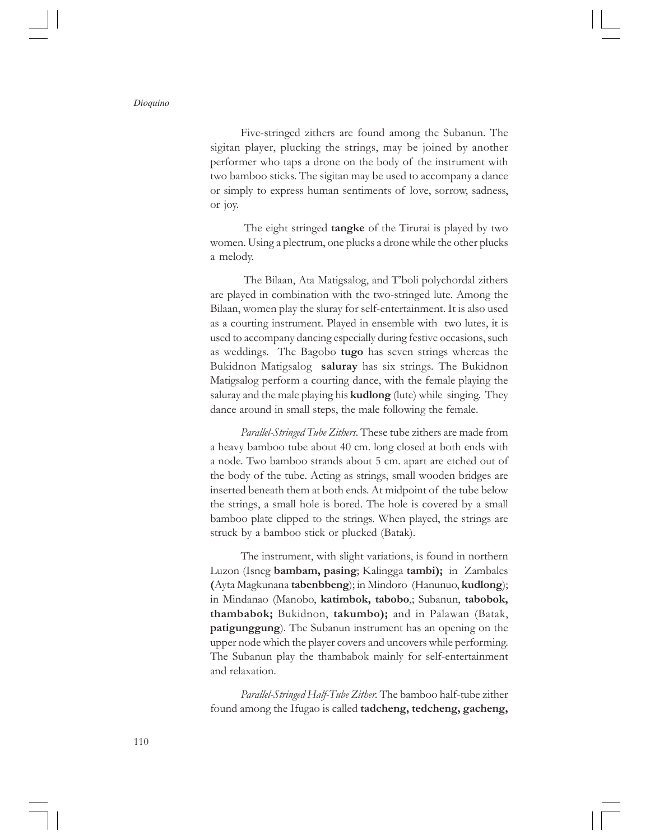Five-stringed zithers are found among the Subanun. The sigitan player, plucking the strings, may be joined by another performer who taps a drone on the body of the instrument with two bamboo sticks. The sigitan may be used to accompany a dance or simply to express human sentiments of love, sorrow, sadness, or joy.

The eight stringed **tangke** of the Tirurai is played by two women. Using a plectrum, one plucks a drone while the other plucks a melody.

 The Bilaan, Ata Matigsalog, and T'boli polychordal zithers are played in combination with the two-stringed lute. Among the Bilaan, women play the sluray for self-entertainment. It is also used as a courting instrument. Played in ensemble with two lutes, it is used to accompany dancing especially during festive occasions, such as weddings. The Bagobo tugo has seven strings whereas the Bukidnon Matigsalog saluray has six strings. The Bukidnon Matigsalog perform a courting dance, with the female playing the saluray and the male playing his **kudlong** (lute) while singing. They dance around in small steps, the male following the female.

Parallel-Stringed Tube Zithers. These tube zithers are made from a heavy bamboo tube about 40 cm. long closed at both ends with a node. Two bamboo strands about 5 cm. apart are etched out of the body of the tube. Acting as strings, small wooden bridges are inserted beneath them at both ends. At midpoint of the tube below the strings, a small hole is bored. The hole is covered by a small bamboo plate clipped to the strings. When played, the strings are struck by a bamboo stick or plucked (Batak).

The instrument, with slight variations, is found in northern Luzon (Isneg bambam, pasing; Kalingga tambi); in Zambales (Ayta Magkunana tabenbbeng); in Mindoro (Hanunuo, kudlong); in Mindanao (Manobo, katimbok, tabobo,; Subanun, tabobok, thambabok; Bukidnon, takumbo); and in Palawan (Batak, patigunggung). The Subanun instrument has an opening on the upper node which the player covers and uncovers while performing. The Subanun play the thambabok mainly for self-entertainment and relaxation.

Parallel-Stringed Half-Tube Zither. The bamboo half-tube zither found among the Ifugao is called tadcheng, tedcheng, gacheng,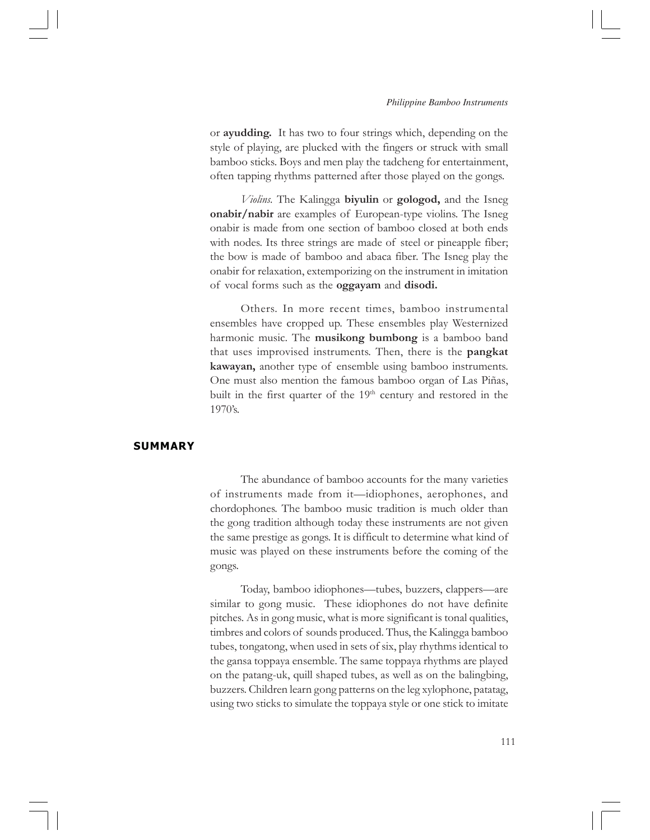or ayudding. It has two to four strings which, depending on the style of playing, are plucked with the fingers or struck with small bamboo sticks. Boys and men play the tadcheng for entertainment, often tapping rhythms patterned after those played on the gongs.

Violins. The Kalingga biyulin or gologod, and the Isneg onabir/nabir are examples of European-type violins. The Isneg onabir is made from one section of bamboo closed at both ends with nodes. Its three strings are made of steel or pineapple fiber; the bow is made of bamboo and abaca fiber. The Isneg play the onabir for relaxation, extemporizing on the instrument in imitation of vocal forms such as the oggayam and disodi.

Others. In more recent times, bamboo instrumental ensembles have cropped up. These ensembles play Westernized harmonic music. The **musikong bumbong** is a bamboo band that uses improvised instruments. Then, there is the pangkat kawayan, another type of ensemble using bamboo instruments. One must also mention the famous bamboo organ of Las Piñas, built in the first quarter of the  $19<sup>th</sup>$  century and restored in the 1970's.

# SUMMARY

The abundance of bamboo accounts for the many varieties of instruments made from it—idiophones, aerophones, and chordophones. The bamboo music tradition is much older than the gong tradition although today these instruments are not given the same prestige as gongs. It is difficult to determine what kind of music was played on these instruments before the coming of the gongs.

Today, bamboo idiophones—tubes, buzzers, clappers—are similar to gong music. These idiophones do not have definite pitches. As in gong music, what is more significant is tonal qualities, timbres and colors of sounds produced. Thus, the Kalingga bamboo tubes, tongatong, when used in sets of six, play rhythms identical to the gansa toppaya ensemble. The same toppaya rhythms are played on the patang-uk, quill shaped tubes, as well as on the balingbing, buzzers. Children learn gong patterns on the leg xylophone, patatag, using two sticks to simulate the toppaya style or one stick to imitate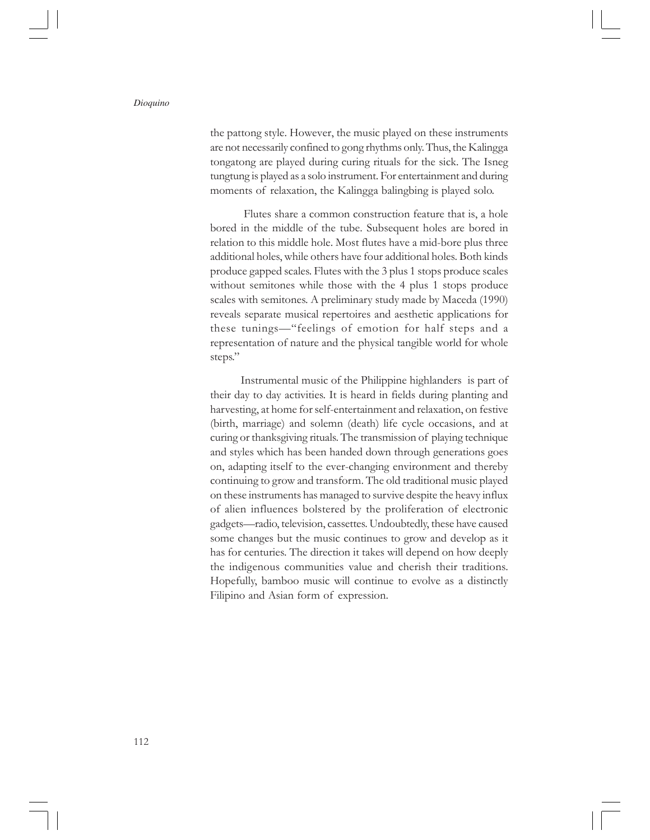the pattong style. However, the music played on these instruments are not necessarily confined to gong rhythms only. Thus, the Kalingga tongatong are played during curing rituals for the sick. The Isneg tungtung is played as a solo instrument. For entertainment and during moments of relaxation, the Kalingga balingbing is played solo.

 Flutes share a common construction feature that is, a hole bored in the middle of the tube. Subsequent holes are bored in relation to this middle hole. Most flutes have a mid-bore plus three additional holes, while others have four additional holes. Both kinds produce gapped scales. Flutes with the 3 plus 1 stops produce scales without semitones while those with the 4 plus 1 stops produce scales with semitones. A preliminary study made by Maceda (1990) reveals separate musical repertoires and aesthetic applications for these tunings—"feelings of emotion for half steps and a representation of nature and the physical tangible world for whole steps."

Instrumental music of the Philippine highlanders is part of their day to day activities. It is heard in fields during planting and harvesting, at home for self-entertainment and relaxation, on festive (birth, marriage) and solemn (death) life cycle occasions, and at curing or thanksgiving rituals. The transmission of playing technique and styles which has been handed down through generations goes on, adapting itself to the ever-changing environment and thereby continuing to grow and transform. The old traditional music played on these instruments has managed to survive despite the heavy influx of alien influences bolstered by the proliferation of electronic gadgets—radio, television, cassettes. Undoubtedly, these have caused some changes but the music continues to grow and develop as it has for centuries. The direction it takes will depend on how deeply the indigenous communities value and cherish their traditions. Hopefully, bamboo music will continue to evolve as a distinctly Filipino and Asian form of expression.